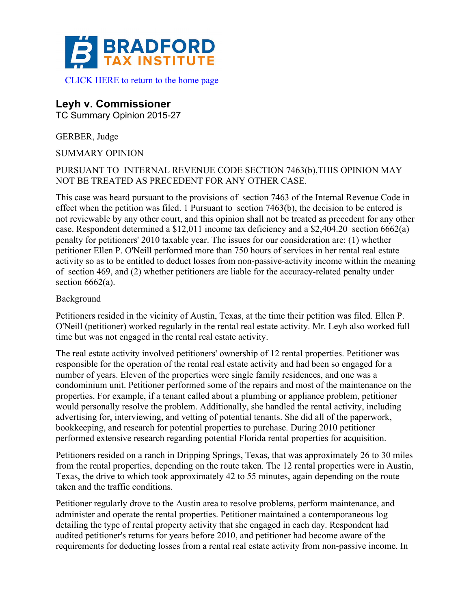

## **Leyh v. Commissioner**

TC Summary Opinion 2015-27

GERBER, Judge

SUMMARY OPINION

## PURSUANT TO INTERNAL REVENUE CODE SECTION 7463(b),THIS OPINION MAY NOT BE TREATED AS PRECEDENT FOR ANY OTHER CASE.

This case was heard pursuant to the provisions of section 7463 of the Internal Revenue Code in effect when the petition was filed. 1 Pursuant to section 7463(b), the decision to be entered is not reviewable by any other court, and this opinion shall not be treated as precedent for any other case. Respondent determined a \$12,011 income tax deficiency and a \$2,404.20 section 6662(a) penalty for petitioners' 2010 taxable year. The issues for our consideration are: (1) whether petitioner Ellen P. O'Neill performed more than 750 hours of services in her rental real estate activity so as to be entitled to deduct losses from non-passive-activity income within the meaning of section 469, and (2) whether petitioners are liable for the accuracy-related penalty under section  $6662(a)$ .

## Background

Petitioners resided in the vicinity of Austin, Texas, at the time their petition was filed. Ellen P. O'Neill (petitioner) worked regularly in the rental real estate activity. Mr. Leyh also worked full time but was not engaged in the rental real estate activity.

The real estate activity involved petitioners' ownership of 12 rental properties. Petitioner was responsible for the operation of the rental real estate activity and had been so engaged for a number of years. Eleven of the properties were single family residences, and one was a condominium unit. Petitioner performed some of the repairs and most of the maintenance on the properties. For example, if a tenant called about a plumbing or appliance problem, petitioner would personally resolve the problem. Additionally, she handled the rental activity, including advertising for, interviewing, and vetting of potential tenants. She did all of the paperwork, bookkeeping, and research for potential properties to purchase. During 2010 petitioner performed extensive research regarding potential Florida rental properties for acquisition.

Petitioners resided on a ranch in Dripping Springs, Texas, that was approximately 26 to 30 miles from the rental properties, depending on the route taken. The 12 rental properties were in Austin, Texas, the drive to which took approximately 42 to 55 minutes, again depending on the route taken and the traffic conditions.

Petitioner regularly drove to the Austin area to resolve problems, perform maintenance, and administer and operate the rental properties. Petitioner maintained a contemporaneous log detailing the type of rental property activity that she engaged in each day. Respondent had audited petitioner's returns for years before 2010, and petitioner had become aware of the requirements for deducting losses from a rental real estate activity from non-passive income. In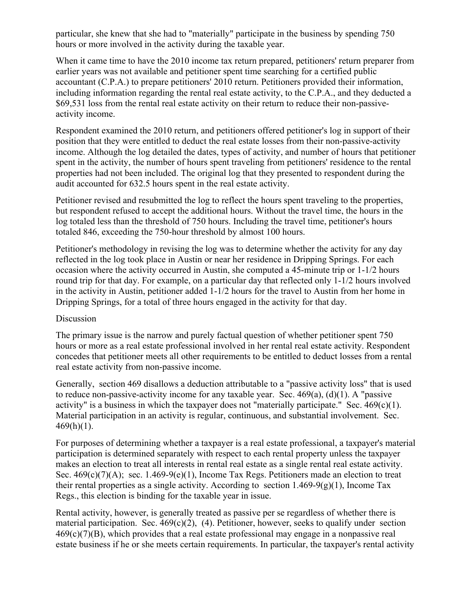particular, she knew that she had to "materially" participate in the business by spending 750 hours or more involved in the activity during the taxable year.

When it came time to have the 2010 income tax return prepared, petitioners' return preparer from earlier years was not available and petitioner spent time searching for a certified public accountant (C.P.A.) to prepare petitioners' 2010 return. Petitioners provided their information, including information regarding the rental real estate activity, to the C.P.A., and they deducted a \$69,531 loss from the rental real estate activity on their return to reduce their non-passiveactivity income.

Respondent examined the 2010 return, and petitioners offered petitioner's log in support of their position that they were entitled to deduct the real estate losses from their non-passive-activity income. Although the log detailed the dates, types of activity, and number of hours that petitioner spent in the activity, the number of hours spent traveling from petitioners' residence to the rental properties had not been included. The original log that they presented to respondent during the audit accounted for 632.5 hours spent in the real estate activity.

Petitioner revised and resubmitted the log to reflect the hours spent traveling to the properties, but respondent refused to accept the additional hours. Without the travel time, the hours in the log totaled less than the threshold of 750 hours. Including the travel time, petitioner's hours totaled 846, exceeding the 750-hour threshold by almost 100 hours.

Petitioner's methodology in revising the log was to determine whether the activity for any day reflected in the log took place in Austin or near her residence in Dripping Springs. For each occasion where the activity occurred in Austin, she computed a 45-minute trip or 1-1/2 hours round trip for that day. For example, on a particular day that reflected only 1-1/2 hours involved in the activity in Austin, petitioner added 1-1/2 hours for the travel to Austin from her home in Dripping Springs, for a total of three hours engaged in the activity for that day.

## Discussion

The primary issue is the narrow and purely factual question of whether petitioner spent 750 hours or more as a real estate professional involved in her rental real estate activity. Respondent concedes that petitioner meets all other requirements to be entitled to deduct losses from a rental real estate activity from non-passive income.

Generally, section 469 disallows a deduction attributable to a "passive activity loss" that is used to reduce non-passive-activity income for any taxable year. Sec.  $469(a)$ ,  $(d)(1)$ . A "passive activity" is a business in which the taxpayer does not "materially participate." Sec.  $469(c)(1)$ . Material participation in an activity is regular, continuous, and substantial involvement. Sec.  $469(h)(1)$ .

For purposes of determining whether a taxpayer is a real estate professional, a taxpayer's material participation is determined separately with respect to each rental property unless the taxpayer makes an election to treat all interests in rental real estate as a single rental real estate activity. Sec. 469(c)(7)(A); sec. 1.469-9(e)(1), Income Tax Regs. Petitioners made an election to treat their rental properties as a single activity. According to section 1.469-9(g)(1), Income Tax Regs., this election is binding for the taxable year in issue.

Rental activity, however, is generally treated as passive per se regardless of whether there is material participation. Sec.  $469(c)(2)$ , (4). Petitioner, however, seeks to qualify under section  $469(c)(7)(B)$ , which provides that a real estate professional may engage in a nonpassive real estate business if he or she meets certain requirements. In particular, the taxpayer's rental activity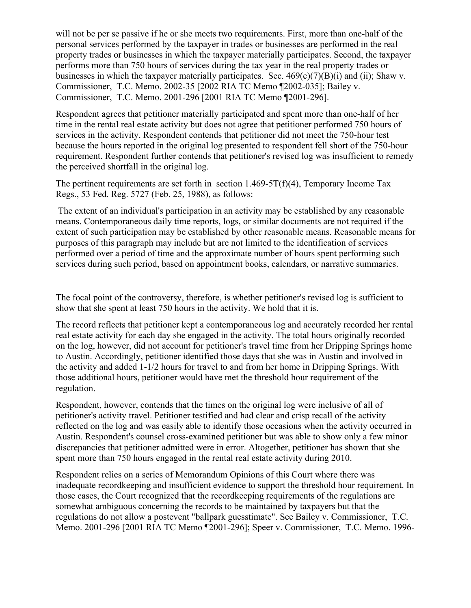will not be per se passive if he or she meets two requirements. First, more than one-half of the personal services performed by the taxpayer in trades or businesses are performed in the real property trades or businesses in which the taxpayer materially participates. Second, the taxpayer performs more than 750 hours of services during the tax year in the real property trades or businesses in which the taxpayer materially participates. Sec. 469(c)(7)(B)(i) and (ii); Shaw v. Commissioner, T.C. Memo. 2002-35 [2002 RIA TC Memo ¶2002-035]; Bailey v. Commissioner, T.C. Memo. 2001-296 [2001 RIA TC Memo ¶2001-296].

Respondent agrees that petitioner materially participated and spent more than one-half of her time in the rental real estate activity but does not agree that petitioner performed 750 hours of services in the activity. Respondent contends that petitioner did not meet the 750-hour test because the hours reported in the original log presented to respondent fell short of the 750-hour requirement. Respondent further contends that petitioner's revised log was insufficient to remedy the perceived shortfall in the original log.

The pertinent requirements are set forth in section  $1.469-5T(f)(4)$ , Temporary Income Tax Regs., 53 Fed. Reg. 5727 (Feb. 25, 1988), as follows:

The extent of an individual's participation in an activity may be established by any reasonable means. Contemporaneous daily time reports, logs, or similar documents are not required if the extent of such participation may be established by other reasonable means. Reasonable means for purposes of this paragraph may include but are not limited to the identification of services performed over a period of time and the approximate number of hours spent performing such services during such period, based on appointment books, calendars, or narrative summaries.

The focal point of the controversy, therefore, is whether petitioner's revised log is sufficient to show that she spent at least 750 hours in the activity. We hold that it is.

The record reflects that petitioner kept a contemporaneous log and accurately recorded her rental real estate activity for each day she engaged in the activity. The total hours originally recorded on the log, however, did not account for petitioner's travel time from her Dripping Springs home to Austin. Accordingly, petitioner identified those days that she was in Austin and involved in the activity and added 1-1/2 hours for travel to and from her home in Dripping Springs. With those additional hours, petitioner would have met the threshold hour requirement of the regulation.

Respondent, however, contends that the times on the original log were inclusive of all of petitioner's activity travel. Petitioner testified and had clear and crisp recall of the activity reflected on the log and was easily able to identify those occasions when the activity occurred in Austin. Respondent's counsel cross-examined petitioner but was able to show only a few minor discrepancies that petitioner admitted were in error. Altogether, petitioner has shown that she spent more than 750 hours engaged in the rental real estate activity during 2010.

Respondent relies on a series of Memorandum Opinions of this Court where there was inadequate recordkeeping and insufficient evidence to support the threshold hour requirement. In those cases, the Court recognized that the recordkeeping requirements of the regulations are somewhat ambiguous concerning the records to be maintained by taxpayers but that the regulations do not allow a postevent "ballpark guesstimate". See Bailey v. Commissioner, T.C. Memo. 2001-296 [2001 RIA TC Memo ¶2001-296]; Speer v. Commissioner, T.C. Memo. 1996